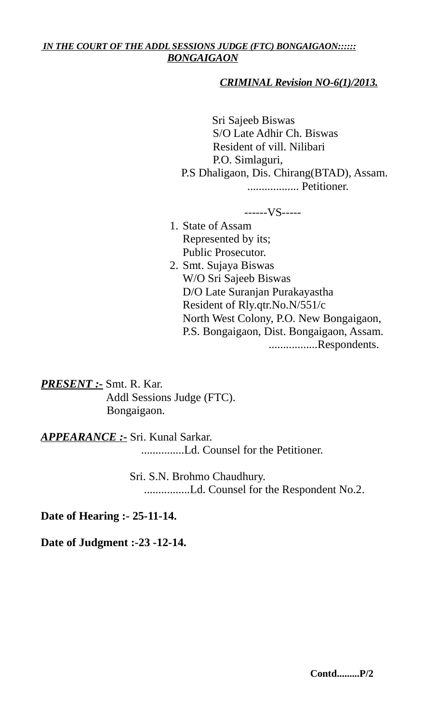# *IN THE COURT OF THE ADDL SESSIONS JUDGE (FTC) BONGAIGAON:::::: BONGAIGAON*

# *CRIMINAL Revision NO-6(1)/2013.*

 Sri Sajeeb Biswas S/O Late Adhir Ch. Biswas Resident of vill. Nilibari P.O. Simlaguri, P.S Dhaligaon, Dis. Chirang(BTAD), Assam. .................. Petitioner.

------VS-----

- 1. State of Assam Represented by its; Public Prosecutor.
- 2. Smt. Sujaya Biswas W/O Sri Sajeeb Biswas D/O Late Suranjan Purakayastha Resident of Rly.qtr.No.N/551/c North West Colony, P.O. New Bongaigaon, P.S. Bongaigaon, Dist. Bongaigaon, Assam. .................Respondents.

*PRESENT :-* Smt. R. Kar. Addl Sessions Judge (FTC). Bongaigaon.

*APPEARANCE :-* Sri. Kunal Sarkar.

...............Ld. Counsel for the Petitioner.

 Sri. S.N. Brohmo Chaudhury. ................Ld. Counsel for the Respondent No.2.

**Date of Hearing :- 25-11-14.**

**Date of Judgment :-23 -12-14.**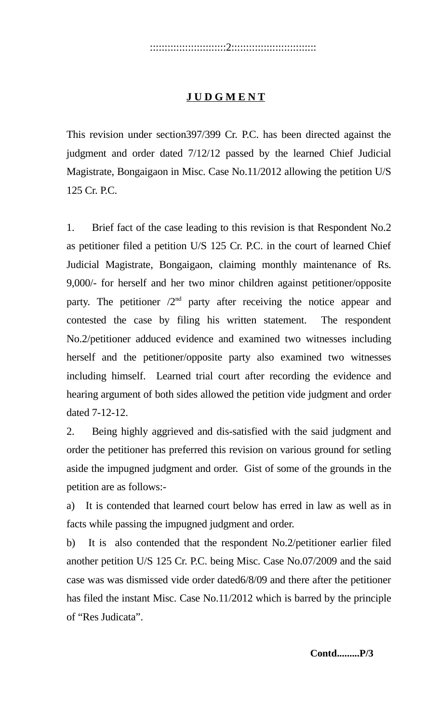# ::::::::::::::::::::::::::2:::::::::::::::::::::::::::::

# **J U D G M E N T**

This revision under section397/399 Cr. P.C. has been directed against the judgment and order dated 7/12/12 passed by the learned Chief Judicial Magistrate, Bongaigaon in Misc. Case No.11/2012 allowing the petition U/S 125 Cr. P.C.

1. Brief fact of the case leading to this revision is that Respondent No.2 as petitioner filed a petition U/S 125 Cr. P.C. in the court of learned Chief Judicial Magistrate, Bongaigaon, claiming monthly maintenance of Rs. 9,000/- for herself and her two minor children against petitioner/opposite party. The petitioner  $/2<sup>nd</sup>$  party after receiving the notice appear and contested the case by filing his written statement. The respondent No.2/petitioner adduced evidence and examined two witnesses including herself and the petitioner/opposite party also examined two witnesses including himself. Learned trial court after recording the evidence and hearing argument of both sides allowed the petition vide judgment and order dated 7-12-12.

2. Being highly aggrieved and dis-satisfied with the said judgment and order the petitioner has preferred this revision on various ground for setling aside the impugned judgment and order. Gist of some of the grounds in the petition are as follows:-

a) It is contended that learned court below has erred in law as well as in facts while passing the impugned judgment and order.

b) It is also contended that the respondent No.2/petitioner earlier filed another petition U/S 125 Cr. P.C. being Misc. Case No.07/2009 and the said case was was dismissed vide order dated6/8/09 and there after the petitioner has filed the instant Misc. Case No.11/2012 which is barred by the principle of "Res Judicata".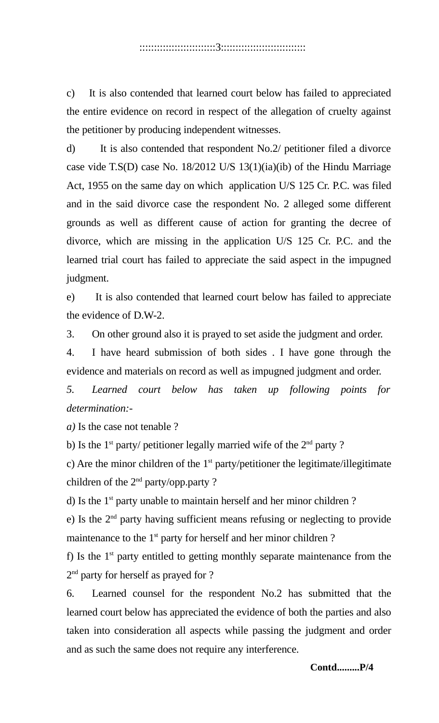### ::::::::::::::::::::::::::3:::::::::::::::::::::::::::::

c) It is also contended that learned court below has failed to appreciated the entire evidence on record in respect of the allegation of cruelty against the petitioner by producing independent witnesses.

d) It is also contended that respondent No.2/ petitioner filed a divorce case vide T.S(D) case No. 18/2012 U/S 13(1)(ia)(ib) of the Hindu Marriage Act, 1955 on the same day on which application U/S 125 Cr. P.C. was filed and in the said divorce case the respondent No. 2 alleged some different grounds as well as different cause of action for granting the decree of divorce, which are missing in the application U/S 125 Cr. P.C. and the learned trial court has failed to appreciate the said aspect in the impugned judgment.

e) It is also contended that learned court below has failed to appreciate the evidence of D.W-2.

3. On other ground also it is prayed to set aside the judgment and order.

4. I have heard submission of both sides . I have gone through the evidence and materials on record as well as impugned judgment and order.

*5. Learned court below has taken up following points for determination:-*

*a)* Is the case not tenable ?

b) Is the  $1<sup>st</sup>$  party/ petitioner legally married wife of the  $2<sup>nd</sup>$  party ?

c) Are the minor children of the  $1<sup>st</sup>$  party/petitioner the legitimate/illegitimate children of the  $2<sup>nd</sup>$  party/opp.party ?

d) Is the  $1<sup>st</sup>$  party unable to maintain herself and her minor children?

e) Is the  $2<sup>nd</sup>$  party having sufficient means refusing or neglecting to provide maintenance to the  $1<sup>st</sup>$  party for herself and her minor children ?

f) Is the  $1<sup>st</sup>$  party entitled to getting monthly separate maintenance from the 2<sup>nd</sup> party for herself as prayed for ?

6. Learned counsel for the respondent No.2 has submitted that the learned court below has appreciated the evidence of both the parties and also taken into consideration all aspects while passing the judgment and order and as such the same does not require any interference.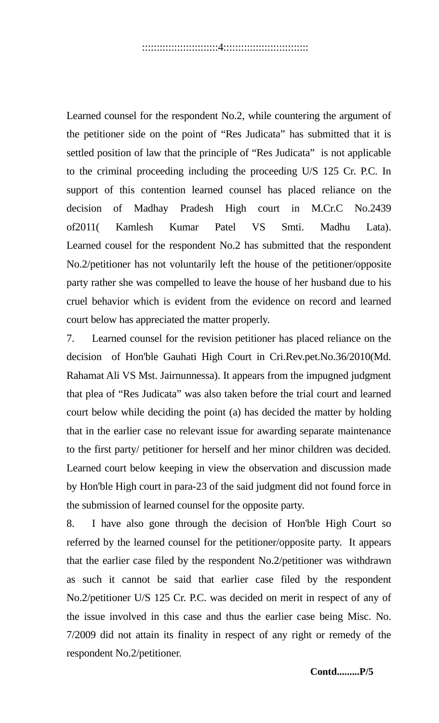Learned counsel for the respondent No.2, while countering the argument of the petitioner side on the point of "Res Judicata" has submitted that it is settled position of law that the principle of "Res Judicata" is not applicable to the criminal proceeding including the proceeding U/S 125 Cr. P.C. In support of this contention learned counsel has placed reliance on the decision of Madhay Pradesh High court in M.Cr.C No.2439 of2011( Kamlesh Kumar Patel VS Smti. Madhu Lata). Learned cousel for the respondent No.2 has submitted that the respondent No.2/petitioner has not voluntarily left the house of the petitioner/opposite party rather she was compelled to leave the house of her husband due to his cruel behavior which is evident from the evidence on record and learned court below has appreciated the matter properly.

7. Learned counsel for the revision petitioner has placed reliance on the decision of Hon'ble Gauhati High Court in Cri.Rev.pet.No.36/2010(Md. Rahamat Ali VS Mst. Jairnunnessa). It appears from the impugned judgment that plea of "Res Judicata" was also taken before the trial court and learned court below while deciding the point (a) has decided the matter by holding that in the earlier case no relevant issue for awarding separate maintenance to the first party/ petitioner for herself and her minor children was decided. Learned court below keeping in view the observation and discussion made by Hon'ble High court in para-23 of the said judgment did not found force in the submission of learned counsel for the opposite party.

8. I have also gone through the decision of Hon'ble High Court so referred by the learned counsel for the petitioner/opposite party. It appears that the earlier case filed by the respondent No.2/petitioner was withdrawn as such it cannot be said that earlier case filed by the respondent No.2/petitioner U/S 125 Cr. P.C. was decided on merit in respect of any of the issue involved in this case and thus the earlier case being Misc. No. 7/2009 did not attain its finality in respect of any right or remedy of the respondent No.2/petitioner.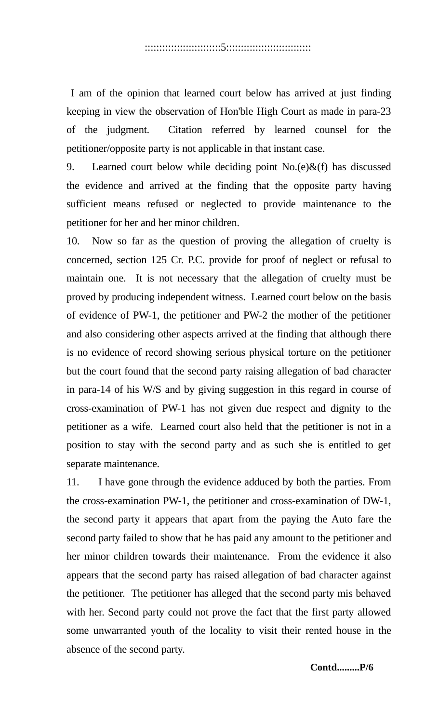I am of the opinion that learned court below has arrived at just finding keeping in view the observation of Hon'ble High Court as made in para-23 of the judgment. Citation referred by learned counsel for the petitioner/opposite party is not applicable in that instant case.

9. Learned court below while deciding point No.(e)&(f) has discussed the evidence and arrived at the finding that the opposite party having sufficient means refused or neglected to provide maintenance to the petitioner for her and her minor children.

10. Now so far as the question of proving the allegation of cruelty is concerned, section 125 Cr. P.C. provide for proof of neglect or refusal to maintain one. It is not necessary that the allegation of cruelty must be proved by producing independent witness. Learned court below on the basis of evidence of PW-1, the petitioner and PW-2 the mother of the petitioner and also considering other aspects arrived at the finding that although there is no evidence of record showing serious physical torture on the petitioner but the court found that the second party raising allegation of bad character in para-14 of his W/S and by giving suggestion in this regard in course of cross-examination of PW-1 has not given due respect and dignity to the petitioner as a wife. Learned court also held that the petitioner is not in a position to stay with the second party and as such she is entitled to get separate maintenance.

11. I have gone through the evidence adduced by both the parties. From the cross-examination PW-1, the petitioner and cross-examination of DW-1, the second party it appears that apart from the paying the Auto fare the second party failed to show that he has paid any amount to the petitioner and her minor children towards their maintenance. From the evidence it also appears that the second party has raised allegation of bad character against the petitioner. The petitioner has alleged that the second party mis behaved with her. Second party could not prove the fact that the first party allowed some unwarranted youth of the locality to visit their rented house in the absence of the second party.